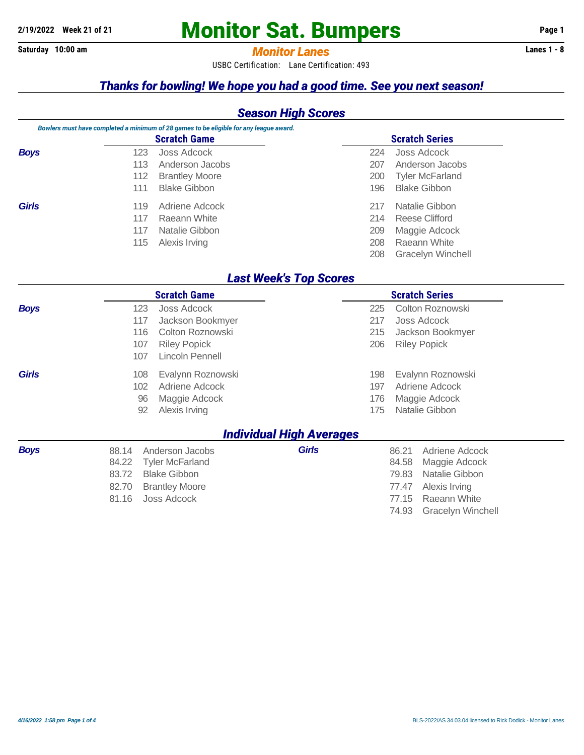# **2/19/2022 Week 21 of 21 Monitor Sat. Bumpers** Page 1

#### **Saturday 10:00 am** *Monitor Lanes* **Lanes 1 - 8**

USBC Certification: Lane Certification: 493

#### *Thanks for bowling! We hope you had a good time. See you next season!*

#### *Season High Scores*

|              |     | Bowlers must have completed a minimum of 28 games to be eligible for any league award. |     |                        |  |
|--------------|-----|----------------------------------------------------------------------------------------|-----|------------------------|--|
|              |     | <b>Scratch Game</b>                                                                    |     | <b>Scratch Series</b>  |  |
| <b>Boys</b>  | 123 | Joss Adcock                                                                            | 224 | Joss Adcock            |  |
|              | 113 | Anderson Jacobs                                                                        | 207 | Anderson Jacobs        |  |
|              | 112 | <b>Brantley Moore</b>                                                                  | 200 | <b>Tyler McFarland</b> |  |
|              | 111 | Blake Gibbon                                                                           | 196 | <b>Blake Gibbon</b>    |  |
| <b>Girls</b> | 119 | Adriene Adcock                                                                         | 217 | Natalie Gibbon         |  |
|              | 117 | Raeann White                                                                           | 214 | Reese Clifford         |  |
|              | 117 | Natalie Gibbon                                                                         | 209 | Maggie Adcock          |  |
|              | 115 | Alexis Irving                                                                          | 208 | Raeann White           |  |
|              |     |                                                                                        | 208 | Gracelyn Winchell      |  |

#### *Last Week's Top Scores*

|              |       | <b>Scratch Game</b>    |                                 |     | <b>Scratch Series</b>   |
|--------------|-------|------------------------|---------------------------------|-----|-------------------------|
| <b>Boys</b>  | 123   | Joss Adcock            |                                 | 225 | Colton Roznowski        |
|              | 117   | Jackson Bookmyer       |                                 | 217 | Joss Adcock             |
|              | 116   | Colton Roznowski       |                                 | 215 | Jackson Bookmyer        |
|              | 107   | <b>Riley Popick</b>    |                                 | 206 | <b>Riley Popick</b>     |
|              | 107   | Lincoln Pennell        |                                 |     |                         |
| <b>Girls</b> | 108   | Evalynn Roznowski      |                                 | 198 | Evalynn Roznowski       |
|              | 102   | Adriene Adcock         |                                 | 197 | Adriene Adcock          |
|              | 96    | Maggie Adcock          |                                 | 176 | Maggie Adcock           |
|              | 92    | Alexis Irving          |                                 | 175 | Natalie Gibbon          |
|              |       |                        | <b>Individual High Averages</b> |     |                         |
| <b>Boys</b>  | 88.14 | Anderson Jacobs        | <b>Girls</b>                    |     | 86.21<br>Adriene Adcock |
|              | 84.22 | <b>Tyler McFarland</b> |                                 |     | 84.58<br>Maggie Adcock  |
|              | 83.72 | <b>Blake Gibbon</b>    |                                 |     | Natalie Gibbon<br>79.83 |
|              | 82.70 | <b>Brantley Moore</b>  |                                 |     | 77.47<br>Alexis Irving  |

81.16 Joss Adcock 77.15 Raeann White

74.93 Gracelyn Winchell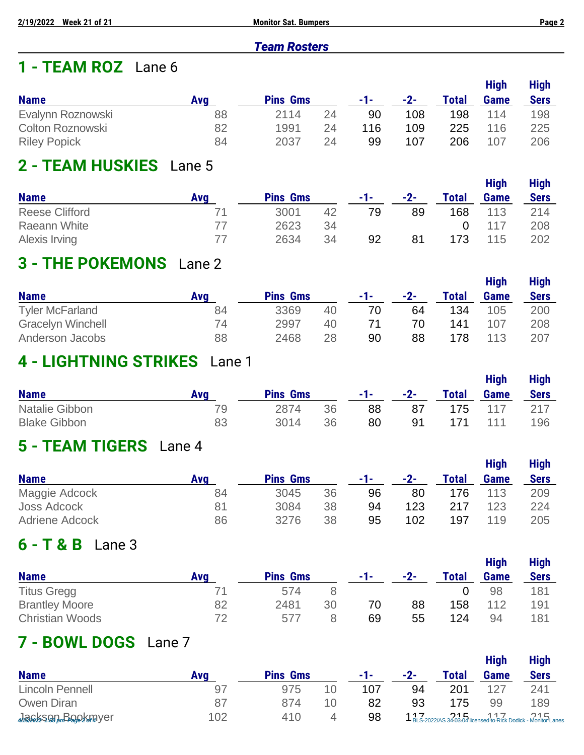#### *Team Rosters*

### **1 - TEAM ROZ** Lane 6

|                     |     |                 |    |       |       |       | <b>High</b> | <b>High</b> |
|---------------------|-----|-----------------|----|-------|-------|-------|-------------|-------------|
| <b>Name</b>         | Ava | <b>Pins Gms</b> |    | $-1-$ | $-2-$ | Total | <b>Game</b> | <b>Sers</b> |
| Evalynn Roznowski   | 88  | 2114            | 24 | 90    | 108   | 198   | 114         | 198         |
| Colton Roznowski    | 82  | 1991            | 24 | 116   | 109   | 225   | 116         | 225         |
| <b>Riley Popick</b> | 84  | 2037            | 24 | 99    | 107   | 206   | 107         | 206         |

### **2 - TEAM HUSKIES** Lane 5

|                       |     |                 |    |     |       |              | <b>High</b> | <b>High</b> |
|-----------------------|-----|-----------------|----|-----|-------|--------------|-------------|-------------|
| <b>Name</b>           | Ava | <b>Pins Gms</b> |    | -1- | $-2-$ | <b>Total</b> | <b>Game</b> | <b>Sers</b> |
| <b>Reese Clifford</b> | 71  | 3001            | 42 | 79  | 89    | 168          | 113         | 214         |
| Raeann White          | 77  | 2623            | 34 |     |       |              | 117         | 208         |
| Alexis Irving         | 77  | 2634            | 34 | 92  | 81    | 173          | 115         | 202         |

### **3 - THE POKEMONS** Lane 2

|                          |     |                 |    |     |       |              | <b>High</b> | <b>High</b> |
|--------------------------|-----|-----------------|----|-----|-------|--------------|-------------|-------------|
| <b>Name</b>              | Ava | <b>Pins Gms</b> |    | -1- | $-2-$ | <b>Total</b> | Game        | <b>Sers</b> |
| <b>Tyler McFarland</b>   | 84  | 3369            | 40 | 70  | 64    | 134          | 105         | 200         |
| <b>Gracelyn Winchell</b> | 74  | 2997            | 40 | 71  | 70    | 141          | 107         | 208         |
| Anderson Jacobs          | 88  | 2468            | 28 | 90  | 88    | 178          | 113         | 207         |

#### **4 - LIGHTNING STRIKES** Lane 1

| <b>Name</b>         | <b>Ava</b> | <b>Pins Gms</b> |    | -1-1 | $-2-$ | <b>Total</b> | <b>High</b><br>Game | <b>High</b><br><b>Sers</b> |
|---------------------|------------|-----------------|----|------|-------|--------------|---------------------|----------------------------|
| Natalie Gibbon      | 79         | 2874            | 36 | 88   | 87    | 175          | -117                | 217                        |
| <b>Blake Gibbon</b> | 83         | 3014            | 36 | 80   | 91    | 171          | 111                 | 196                        |

### **5 - TEAM TIGERS** Lane 4

|                       |     |                 |    |     |       |       | <b>High</b> | <b>High</b> |
|-----------------------|-----|-----------------|----|-----|-------|-------|-------------|-------------|
| <b>Name</b>           | Ava | <b>Pins Gms</b> |    | -1- | $-2-$ | Total | Game        | <b>Sers</b> |
| Maggie Adcock         | 84  | 3045            | 36 | 96  | 80    | 176   | 113         | 209         |
| Joss Adcock           | 81  | 3084            | 38 | 94  | 123   | 217   | 123         | 224         |
| <b>Adriene Adcock</b> | 86  | 3276            | 38 | 95  | 102   | 197   | 119         | 205         |

### **6 - T & B** Lane 3

|                        |     |                 |    |       |       |       | <b>High</b> | <b>High</b> |
|------------------------|-----|-----------------|----|-------|-------|-------|-------------|-------------|
| <b>Name</b>            | Ava | <b>Pins Gms</b> |    | $-1-$ | $-2-$ | Total | <b>Game</b> | <b>Sers</b> |
| <b>Titus Gregg</b>     |     | 574             |    |       |       |       | 98          | 181         |
| <b>Brantley Moore</b>  | 82  | 2481            | 30 | 70    | 88    | 158   | 112         | 191         |
| <b>Christian Woods</b> | 72  | 577             |    | 69    | 55    | 124   | 94          | 181         |

### **7 - BOWL DOGS** Lane 7

|                       |     |                 |    |     |       |       | <b>High</b> | <b>High</b>                                                  |
|-----------------------|-----|-----------------|----|-----|-------|-------|-------------|--------------------------------------------------------------|
| <b>Name</b>           | Ava | <b>Pins Gms</b> |    | -1- | $-2-$ | Total | <b>Game</b> | <b>Sers</b>                                                  |
| Lincoln Pennell       | 97  | 975             | 10 | 107 | 94    | 201   | 127         | 241                                                          |
| Owen Diran            | 87  | 874             | 10 | 82  | 93    | 175   | 99          | 189                                                          |
| wassissen, Begokrayer | 102 | 410             |    | 98  |       |       |             | 117 2022/AS 34:03.04 licensed to Rick Dodick - Monitor Lanes |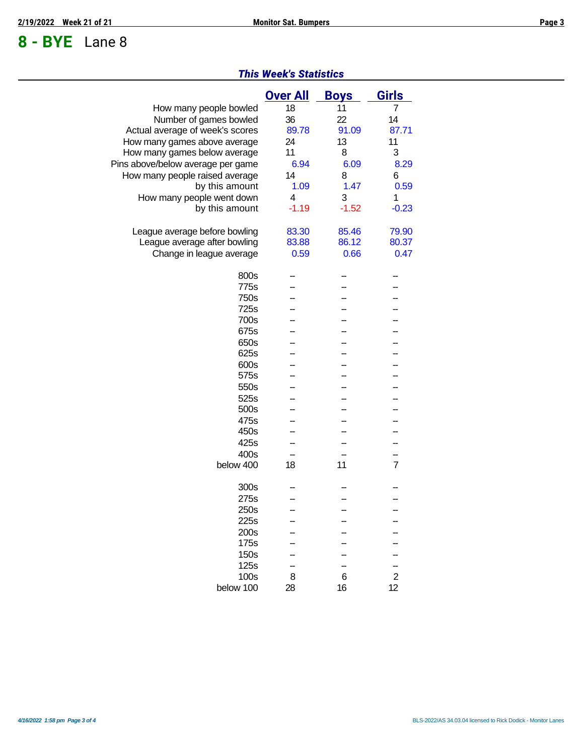## **8 - BYE** Lane 8

#### *This Week's Statistics*

|                                   | <b>Over All</b> | <b>Boys</b> | <b>Girls</b>   |
|-----------------------------------|-----------------|-------------|----------------|
| How many people bowled            | 18              | 11          | 7              |
| Number of games bowled            | 36              | 22          | 14             |
| Actual average of week's scores   | 89.78           | 91.09       | 87.71          |
| How many games above average      | 24              | 13          | 11             |
| How many games below average      | 11              | 8           | 3              |
| Pins above/below average per game | 6.94            | 6.09        | 8.29           |
| How many people raised average    | 14              | 8           | 6              |
| by this amount                    | 1.09            | 1.47        | 0.59           |
| How many people went down         | 4               | 3           | 1              |
| by this amount                    | $-1.19$         | $-1.52$     | $-0.23$        |
|                                   |                 |             |                |
| League average before bowling     | 83.30           | 85.46       | 79.90          |
| League average after bowling      | 83.88           | 86.12       | 80.37          |
| Change in league average          | 0.59            | 0.66        | 0.47           |
| 800s                              |                 |             |                |
| 775s                              |                 |             |                |
| 750s                              |                 |             |                |
| 725s                              |                 |             |                |
| 700s                              |                 |             |                |
| 675s                              |                 |             |                |
| 650s                              |                 |             |                |
| 625s                              |                 |             |                |
| 600s                              |                 |             |                |
| 575s                              |                 |             |                |
| 550s                              |                 |             |                |
| 525s                              |                 |             |                |
| 500s                              |                 |             |                |
| 475s                              |                 |             |                |
| 450s                              |                 |             |                |
| 425s                              |                 |             |                |
|                                   |                 |             |                |
| 400s<br>below 400                 | 18              | 11          | $\overline{7}$ |
|                                   |                 |             |                |
| 300s                              |                 |             |                |
| 275s                              |                 |             |                |
| 250s                              |                 |             |                |
| 225s                              |                 |             |                |
| 200s                              |                 |             |                |
| 175s                              |                 |             |                |
| 150s                              |                 |             |                |
| 125s                              |                 |             |                |
| 100s                              | 8               | 6           | $\overline{2}$ |
| below 100                         | 28              | 16          | 12             |